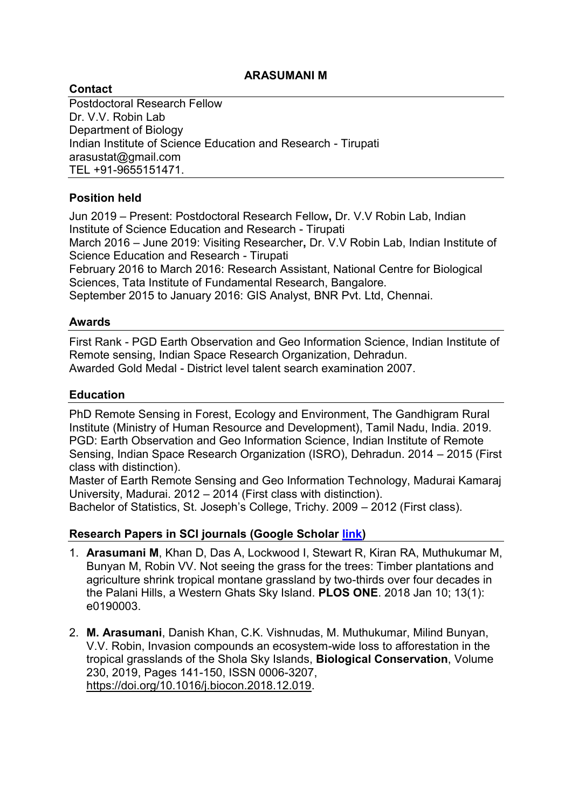### **ARASUMANI M**

### **Contact**

Postdoctoral Research Fellow Dr. V.V. Robin Lab Department of Biology Indian Institute of Science Education and Research - Tirupati arasustat@gmail.com TEL +91-9655151471.

## **Position held**

Jun 2019 – Present: Postdoctoral Research Fellow**,** Dr. V.V Robin Lab, Indian Institute of Science Education and Research - Tirupati March 2016 – June 2019: Visiting Researcher**,** Dr. V.V Robin Lab, Indian Institute of Science Education and Research - Tirupati February 2016 to March 2016: Research Assistant, National Centre for Biological Sciences, Tata Institute of Fundamental Research, Bangalore. September 2015 to January 2016: GIS Analyst, BNR Pvt. Ltd, Chennai.

### **Awards**

First Rank - PGD Earth Observation and Geo Information Science, Indian Institute of Remote sensing, Indian Space Research Organization, Dehradun. Awarded Gold Medal - District level talent search examination 2007.

### **Education**

PhD Remote Sensing in Forest, Ecology and Environment, The Gandhigram Rural Institute (Ministry of Human Resource and Development), Tamil Nadu, India. 2019. PGD: Earth Observation and Geo Information Science, Indian Institute of Remote Sensing, Indian Space Research Organization (ISRO), Dehradun. 2014 – 2015 (First class with distinction).

Master of Earth Remote Sensing and Geo Information Technology, Madurai Kamaraj University, Madurai. 2012 – 2014 (First class with distinction). Bachelor of Statistics, St. Joseph's College, Trichy. 2009 – 2012 (First class).

### **Research Papers in SCI journals (Google Scholar [link\)](https://scholar.google.co.in/citations?user=_PcLuSQAAAAJ&hl=en)**

- 1. **Arasumani M**, Khan D, Das A, Lockwood I, Stewart R, Kiran RA, Muthukumar M, Bunyan M, Robin VV. Not seeing the grass for the trees: Timber plantations and agriculture shrink tropical montane grassland by two-thirds over four decades in the Palani Hills, a Western Ghats Sky Island. **PLOS ONE**. 2018 Jan 10; 13(1): e0190003.
- 2. **M. Arasumani**, Danish Khan, C.K. Vishnudas, M. Muthukumar, Milind Bunyan, V.V. Robin, Invasion compounds an ecosystem-wide loss to afforestation in the tropical grasslands of the Shola Sky Islands, **Biological Conservation**, Volume 230, 2019, Pages 141-150, ISSN 0006-3207, [https://doi.org/10.1016/j.biocon.2018.12.019.](https://doi.org/10.1016/j.biocon.2018.12.019)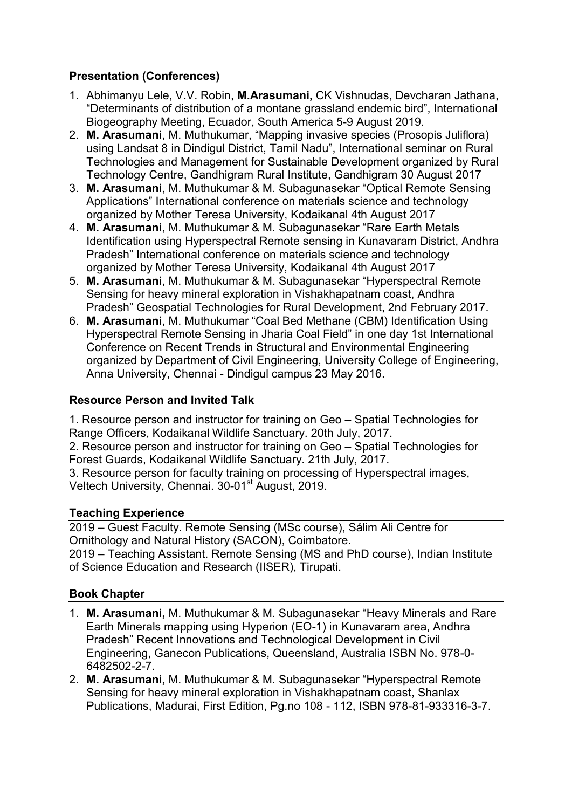# **Presentation (Conferences)**

- 1. Abhimanyu Lele, V.V. Robin, **M.Arasumani,** CK Vishnudas, Devcharan Jathana, "Determinants of distribution of a montane grassland endemic bird", International Biogeography Meeting, Ecuador, South America 5-9 August 2019.
- 2. **M. Arasumani**, M. Muthukumar, "Mapping invasive species (Prosopis Juliflora) using Landsat 8 in Dindigul District, Tamil Nadu", International seminar on Rural Technologies and Management for Sustainable Development organized by Rural Technology Centre, Gandhigram Rural Institute, Gandhigram 30 August 2017
- 3. **M. Arasumani**, M. Muthukumar & M. Subagunasekar "Optical Remote Sensing Applications" International conference on materials science and technology organized by Mother Teresa University, Kodaikanal 4th August 2017
- 4. **M. Arasumani**, M. Muthukumar & M. Subagunasekar "Rare Earth Metals Identification using Hyperspectral Remote sensing in Kunavaram District, Andhra Pradesh" International conference on materials science and technology organized by Mother Teresa University, Kodaikanal 4th August 2017
- 5. **M. Arasumani**, M. Muthukumar & M. Subagunasekar "Hyperspectral Remote Sensing for heavy mineral exploration in Vishakhapatnam coast, Andhra Pradesh" Geospatial Technologies for Rural Development, 2nd February 2017.
- 6. **M. Arasumani**, M. Muthukumar "Coal Bed Methane (CBM) Identification Using Hyperspectral Remote Sensing in Jharia Coal Field" in one day 1st International Conference on Recent Trends in Structural and Environmental Engineering organized by Department of Civil Engineering, University College of Engineering, Anna University, Chennai - Dindigul campus 23 May 2016.

# **Resource Person and Invited Talk**

1. Resource person and instructor for training on Geo – Spatial Technologies for Range Officers, Kodaikanal Wildlife Sanctuary. 20th July, 2017.

2. Resource person and instructor for training on Geo – Spatial Technologies for Forest Guards, Kodaikanal Wildlife Sanctuary. 21th July, 2017.

3. Resource person for faculty training on processing of Hyperspectral images, Veltech University, Chennai. 30-01<sup>st</sup> August, 2019.

## **Teaching Experience**

2019 – Guest Faculty. Remote Sensing (MSc course), Sálim Ali Centre for Ornithology and Natural History (SACON), Coimbatore. 2019 – Teaching Assistant. Remote Sensing (MS and PhD course), Indian Institute of Science Education and Research (IISER), Tirupati.

# **Book Chapter**

- 1. **M. Arasumani,** M. Muthukumar & M. Subagunasekar "Heavy Minerals and Rare Earth Minerals mapping using Hyperion (EO-1) in Kunavaram area, Andhra Pradesh" Recent Innovations and Technological Development in Civil Engineering, Ganecon Publications, Queensland, Australia ISBN No. 978-0- 6482502-2-7.
- 2. **M. Arasumani,** M. Muthukumar & M. Subagunasekar "Hyperspectral Remote Sensing for heavy mineral exploration in Vishakhapatnam coast, Shanlax Publications, Madurai, First Edition, Pg.no 108 - 112, ISBN 978-81-933316-3-7.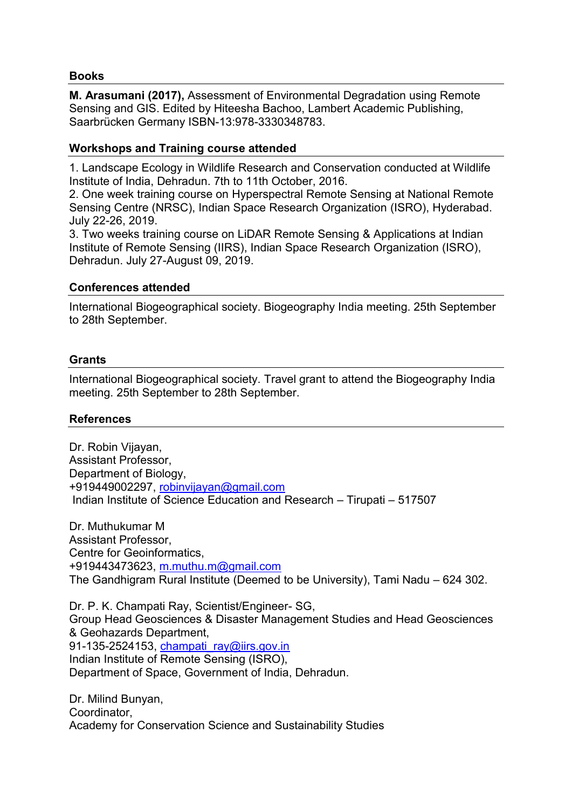### **Books**

**M. Arasumani (2017),** Assessment of Environmental Degradation using Remote Sensing and GIS. Edited by Hiteesha Bachoo, Lambert Academic Publishing, Saarbrücken Germany ISBN-13:978-3330348783.

### **Workshops and Training course attended**

1. Landscape Ecology in Wildlife Research and Conservation conducted at Wildlife Institute of India, Dehradun. 7th to 11th October, 2016.

2. One week training course on Hyperspectral Remote Sensing at National Remote Sensing Centre (NRSC), Indian Space Research Organization (ISRO), Hyderabad. July 22-26, 2019.

3. Two weeks training course on LiDAR Remote Sensing & Applications at Indian Institute of Remote Sensing (IIRS), Indian Space Research Organization (ISRO), Dehradun. July 27-August 09, 2019.

### **Conferences attended**

International Biogeographical society. Biogeography India meeting. 25th September to 28th September.

### **Grants**

International Biogeographical society. Travel grant to attend the Biogeography India meeting. 25th September to 28th September.

#### **References**

Dr. Robin Vijayan, Assistant Professor, Department of Biology, +919449002297, [robinvijayan@gmail.com](mailto:robinvijayan@gmail.com) Indian Institute of Science Education and Research – Tirupati – 517507

Dr. Muthukumar M Assistant Professor, Centre for Geoinformatics, +919443473623, [m.muthu.m@gmail.com](mailto:m.muthu.m@gmail.com) The Gandhigram Rural Institute (Deemed to be University), Tami Nadu – 624 302.

Dr. P. K. Champati Ray, Scientist/Engineer- SG, Group Head Geosciences & Disaster Management Studies and Head Geosciences & Geohazards Department, 91-135-2524153, [champati\\_ray@iirs.gov.in](mailto:champati_ray@iirs.gov.in) Indian Institute of Remote Sensing (ISRO), Department of Space, Government of India, Dehradun.

Dr. Milind Bunyan, Coordinator, Academy for Conservation Science and Sustainability Studies